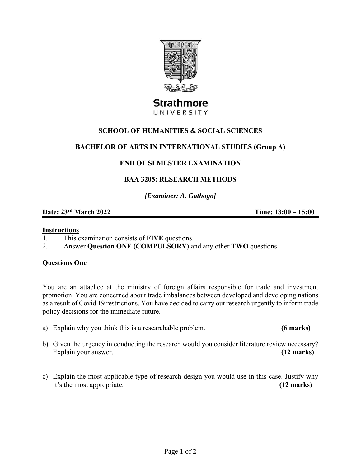

# **Strathmore** UNIVERSITY

## **SCHOOL OF HUMANITIES & SOCIAL SCIENCES**

## **BACHELOR OF ARTS IN INTERNATIONAL STUDIES (Group A)**

## **END OF SEMESTER EXAMINATION**

## **BAA 3205: RESEARCH METHODS**

*[Examiner: A. Gathogo]* 

## **Date: 23rd March 2022 Time: 13:00 – 15:00**

#### **Instructions**

1. This examination consists of **FIVE** questions.

2. Answer **Question ONE (COMPULSORY)** and any other **TWO** questions.

#### **Questions One**

You are an attachee at the ministry of foreign affairs responsible for trade and investment promotion. You are concerned about trade imbalances between developed and developing nations as a result of Covid 19 restrictions. You have decided to carry out research urgently to inform trade policy decisions for the immediate future.

- a) Explain why you think this is a researchable problem. **(6 marks)**
- b) Given the urgency in conducting the research would you consider literature review necessary? Explain your answer. **(12 marks)**
- c) Explain the most applicable type of research design you would use in this case. Justify why it's the most appropriate. **(12 marks)**